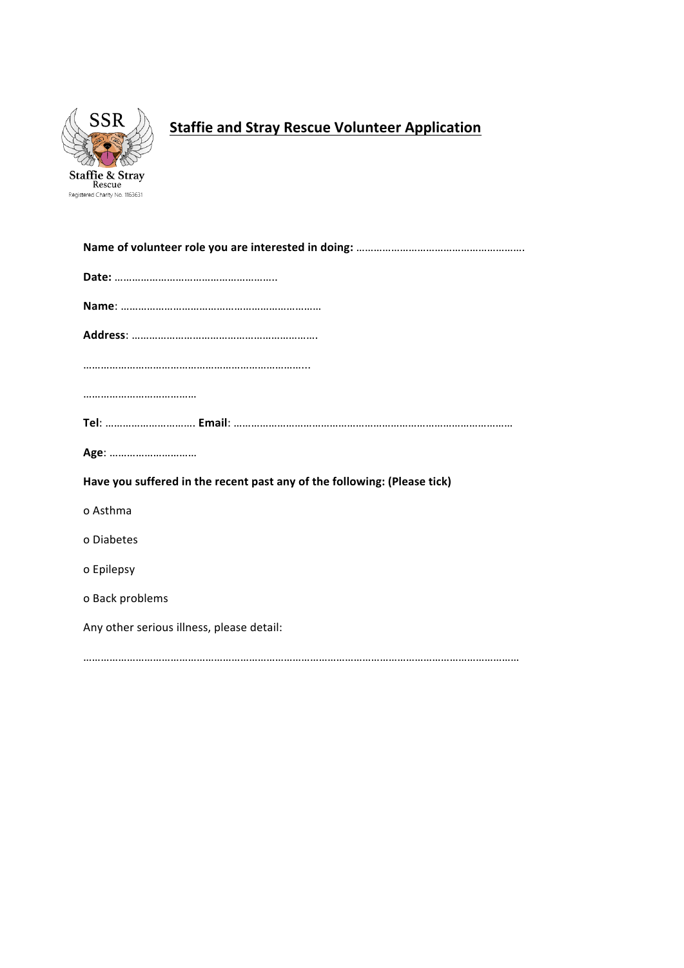

# **Staffie and Stray Rescue Volunteer Application**

| Age:                                                                     |
|--------------------------------------------------------------------------|
| Have you suffered in the recent past any of the following: (Please tick) |
| o Asthma                                                                 |
| o Diabetes                                                               |
| o Epilepsy                                                               |
| o Back problems                                                          |
| Any other serious illness, please detail:                                |
|                                                                          |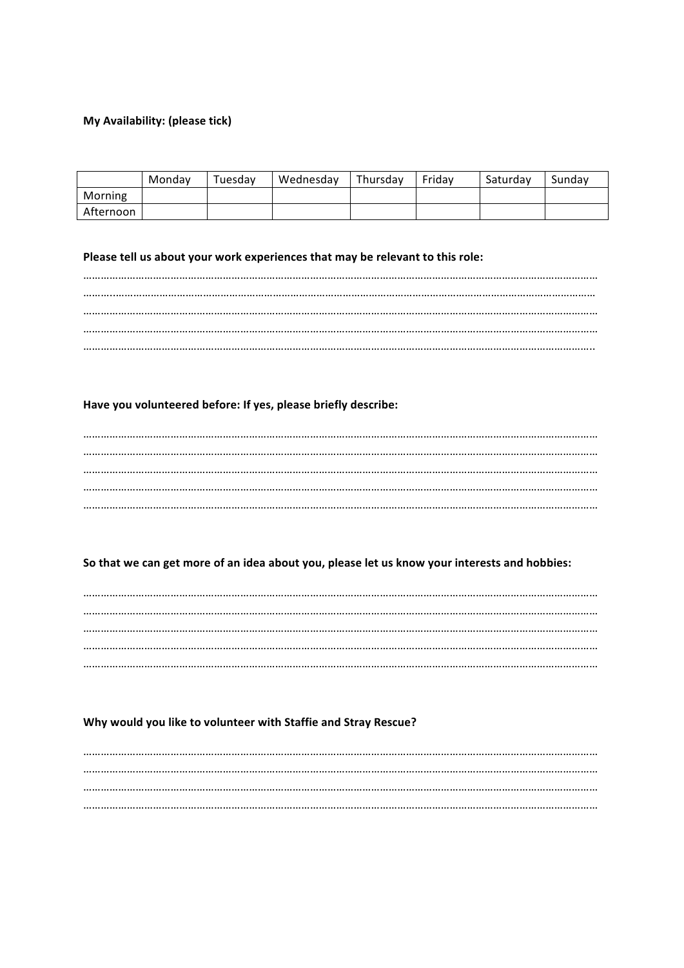## My Availability: (please tick)

|           | Monday | Tuesday | Wednesday | Thursday | Fridav | Saturdav | Sundav |
|-----------|--------|---------|-----------|----------|--------|----------|--------|
| Morning   |        |         |           |          |        |          |        |
| Afternoon |        |         |           |          |        |          |        |

### Please tell us about your work experiences that may be relevant to this role:

# Have you volunteered before: If yes, please briefly describe:

## So that we can get more of an idea about you, please let us know your interests and hobbies:

### Why would you like to volunteer with Staffie and Stray Rescue?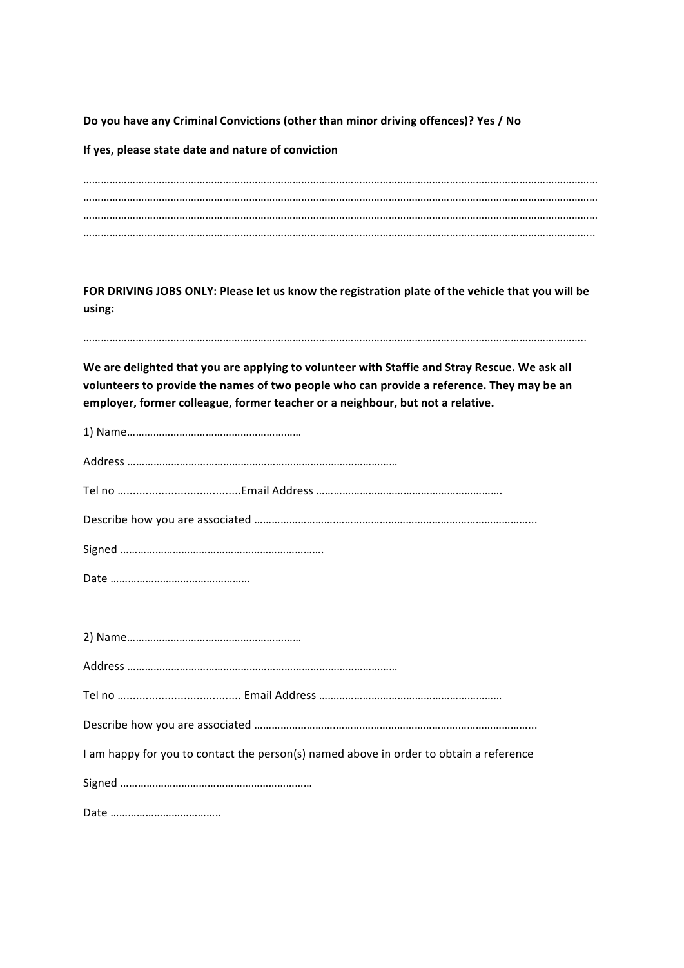Do you have any Criminal Convictions (other than minor driving offences)? Yes / No

**If yes, please state date and nature of conviction** 

…………………………………………………………………………………………………………………………………………………………… …………………………………………………………………………………………………………………………………………………………… …………………………………………………………………………………………………………………………………………………………… …………………………………………………………………………………………………………………………………………………………..

FOR DRIVING JOBS ONLY: Please let us know the registration plate of the vehicle that you will be **using:**

………………………………………………………………………………………………………………………………………………………..

We are delighted that you are applying to volunteer with Staffie and Stray Rescue. We ask all volunteers to provide the names of two people who can provide a reference. They may be an employer, former colleague, former teacher or a neighbour, but not a relative.

| I am happy for you to contact the person(s) named above in order to obtain a reference |
|----------------------------------------------------------------------------------------|
|                                                                                        |
|                                                                                        |